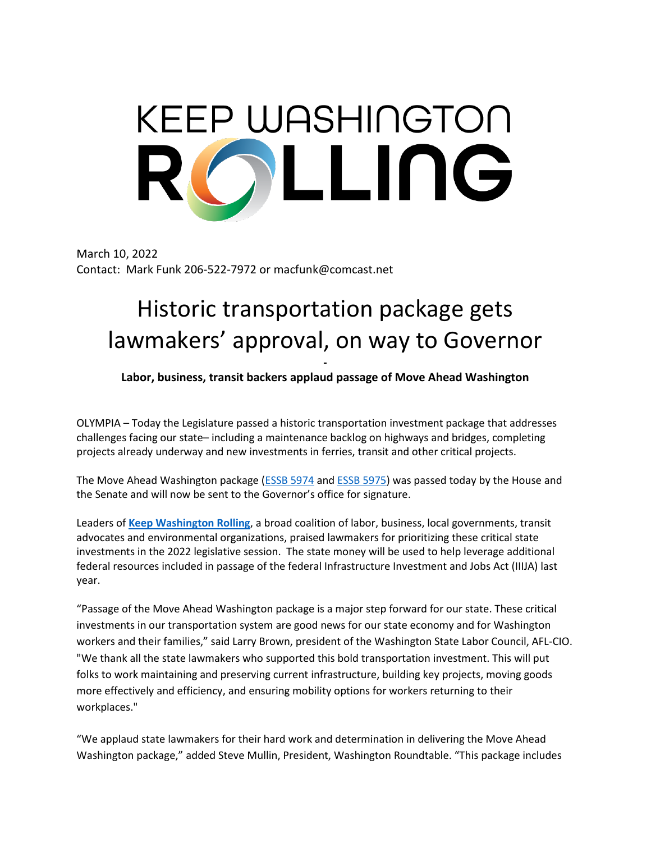## KEEP WASHINGTON ILING

March 10, 2022 Contact: Mark Funk 206-522-7972 or macfunk@comcast.net

## Historic transportation package gets lawmakers' approval, on way to Governor

**- Labor, business, transit backers applaud passage of Move Ahead Washington**

OLYMPIA – Today the Legislature passed a historic transportation investment package that addresses challenges facing our state– including a maintenance backlog on highways and bridges, completing projects already underway and new investments in ferries, transit and other critical projects.

The Move Ahead Washington package [\(ESSB 5974](https://app.leg.wa.gov/billsummary?BillNumber=5974&Year=2021&Initiative=false) and [ESSB 5975\)](https://app.leg.wa.gov/billsummary?BillNumber=5975&Initiative=false&Year=2021) was passed today by the House and the Senate and will now be sent to the Governor's office for signature.

Leaders of **[Keep Washington Rolling](https://keepwashingtonrolling.com/)**, a broad coalition of labor, business, local governments, transit advocates and environmental organizations, praised lawmakers for prioritizing these critical state investments in the 2022 legislative session. The state money will be used to help leverage additional federal resources included in passage of the federal Infrastructure Investment and Jobs Act (IIIJA) last year.

"Passage of the Move Ahead Washington package is a major step forward for our state. These critical investments in our transportation system are good news for our state economy and for Washington workers and their families," said Larry Brown, president of the Washington State Labor Council, AFL-CIO. "We thank all the state lawmakers who supported this bold transportation investment. This will put folks to work maintaining and preserving current infrastructure, building key projects, moving goods more effectively and efficiency, and ensuring mobility options for workers returning to their workplaces."

"We applaud state lawmakers for their hard work and determination in delivering the Move Ahead Washington package," added Steve Mullin, President, Washington Roundtable. "This package includes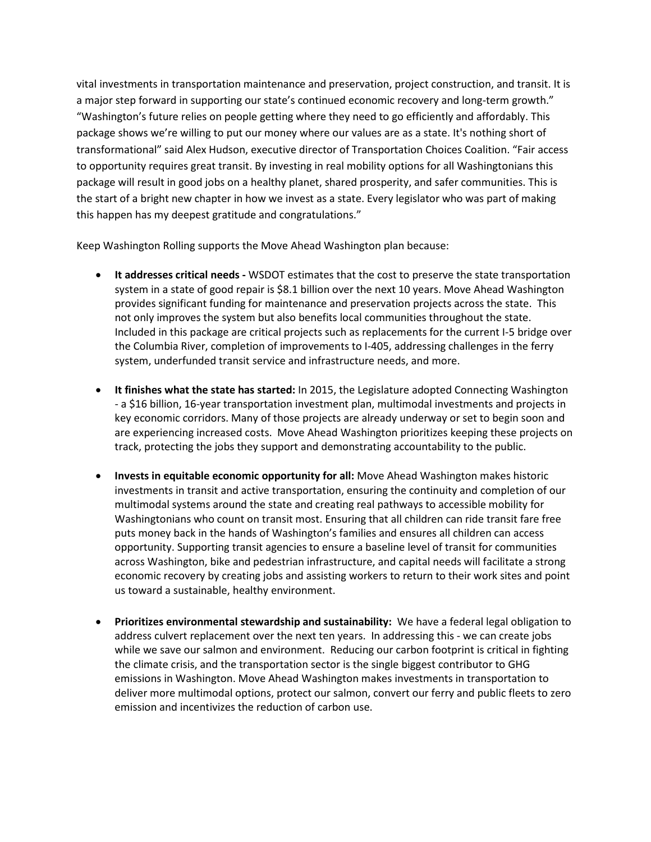vital investments in transportation maintenance and preservation, project construction, and transit. It is a major step forward in supporting our state's continued economic recovery and long-term growth." "Washington's future relies on people getting where they need to go efficiently and affordably. This package shows we're willing to put our money where our values are as a state. It's nothing short of transformational" said Alex Hudson, executive director of Transportation Choices Coalition. "Fair access to opportunity requires great transit. By investing in real mobility options for all Washingtonians this package will result in good jobs on a healthy planet, shared prosperity, and safer communities. This is the start of a bright new chapter in how we invest as a state. Every legislator who was part of making this happen has my deepest gratitude and congratulations."

Keep Washington Rolling supports the Move Ahead Washington plan because:

- **It addresses critical needs -** WSDOT estimates that the cost to preserve the state transportation system in a state of good repair is \$8.1 billion over the next 10 years. Move Ahead Washington provides significant funding for maintenance and preservation projects across the state. This not only improves the system but also benefits local communities throughout the state. Included in this package are critical projects such as replacements for the current I-5 bridge over the Columbia River, completion of improvements to I-405, addressing challenges in the ferry system, underfunded transit service and infrastructure needs, and more.
- **It finishes what the state has started:** In 2015, the Legislature adopted Connecting Washington - a \$16 billion, 16-year transportation investment plan, multimodal investments and projects in key economic corridors. Many of those projects are already underway or set to begin soon and are experiencing increased costs. Move Ahead Washington prioritizes keeping these projects on track, protecting the jobs they support and demonstrating accountability to the public.
- **Invests in equitable economic opportunity for all:** Move Ahead Washington makes historic investments in transit and active transportation, ensuring the continuity and completion of our multimodal systems around the state and creating real pathways to accessible mobility for Washingtonians who count on transit most. Ensuring that all children can ride transit fare free puts money back in the hands of Washington's families and ensures all children can access opportunity. Supporting transit agencies to ensure a baseline level of transit for communities across Washington, bike and pedestrian infrastructure, and capital needs will facilitate a strong economic recovery by creating jobs and assisting workers to return to their work sites and point us toward a sustainable, healthy environment.
- **Prioritizes environmental stewardship and sustainability:** We have a federal legal obligation to address culvert replacement over the next ten years. In addressing this - we can create jobs while we save our salmon and environment. Reducing our carbon footprint is critical in fighting the climate crisis, and the transportation sector is the single biggest contributor to GHG emissions in Washington. Move Ahead Washington makes investments in transportation to deliver more multimodal options, protect our salmon, convert our ferry and public fleets to zero emission and incentivizes the reduction of carbon use.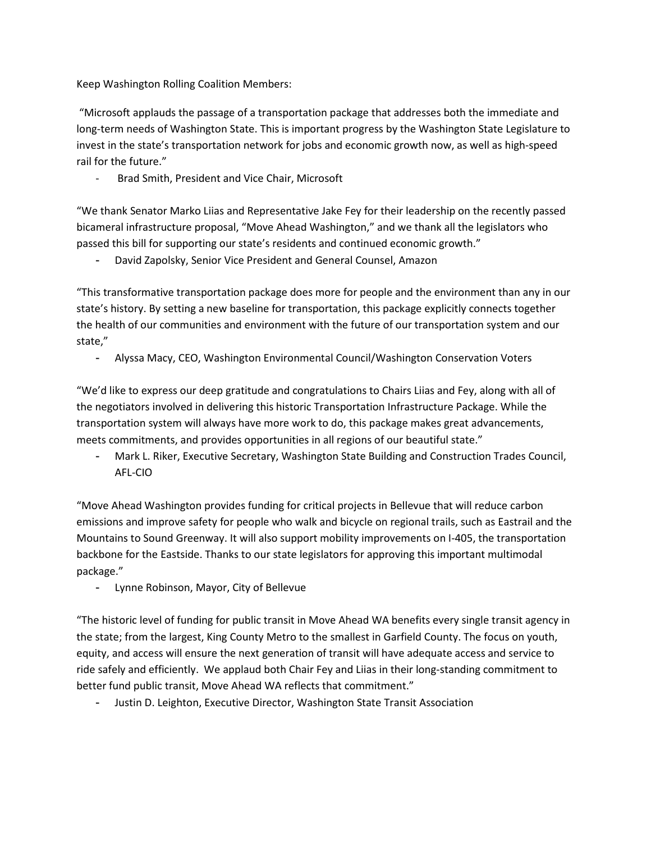Keep Washington Rolling Coalition Members:

"Microsoft applauds the passage of a transportation package that addresses both the immediate and long-term needs of Washington State. This is important progress by the Washington State Legislature to invest in the state's transportation network for jobs and economic growth now, as well as high-speed rail for the future."

Brad Smith, President and Vice Chair, Microsoft

"We thank Senator Marko Liias and Representative Jake Fey for their leadership on the recently passed bicameral infrastructure proposal, "Move Ahead Washington," and we thank all the legislators who passed this bill for supporting our state's residents and continued economic growth."

David Zapolsky, Senior Vice President and General Counsel, Amazon

"This transformative transportation package does more for people and the environment than any in our state's history. By setting a new baseline for transportation, this package explicitly connects together the health of our communities and environment with the future of our transportation system and our state,"

- Alyssa Macy, CEO, Washington Environmental Council/Washington Conservation Voters

"We'd like to express our deep gratitude and congratulations to Chairs Liias and Fey, along with all of the negotiators involved in delivering this historic Transportation Infrastructure Package. While the transportation system will always have more work to do, this package makes great advancements, meets commitments, and provides opportunities in all regions of our beautiful state."

- Mark L. Riker, Executive Secretary, Washington State Building and Construction Trades Council, AFL-CIO

"Move Ahead Washington provides funding for critical projects in Bellevue that will reduce carbon emissions and improve safety for people who walk and bicycle on regional trails, such as Eastrail and the Mountains to Sound Greenway. It will also support mobility improvements on I-405, the transportation backbone for the Eastside. Thanks to our state legislators for approving this important multimodal package."

- Lynne Robinson, Mayor, City of Bellevue

"The historic level of funding for public transit in Move Ahead WA benefits every single transit agency in the state; from the largest, King County Metro to the smallest in Garfield County. The focus on youth, equity, and access will ensure the next generation of transit will have adequate access and service to ride safely and efficiently. We applaud both Chair Fey and Liias in their long-standing commitment to better fund public transit, Move Ahead WA reflects that commitment."

- Justin D. Leighton, Executive Director, Washington State Transit Association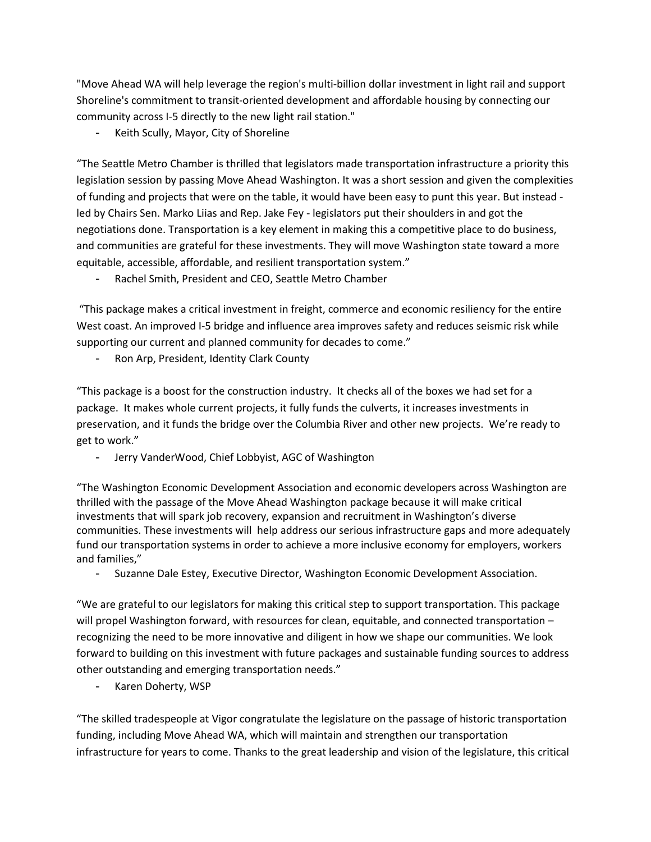"Move Ahead WA will help leverage the region's multi-billion dollar investment in light rail and support Shoreline's commitment to transit-oriented development and affordable housing by connecting our community across I-5 directly to the new light rail station."

Keith Scully, Mayor, City of Shoreline

"The Seattle Metro Chamber is thrilled that legislators made transportation infrastructure a priority this legislation session by passing Move Ahead Washington. It was a short session and given the complexities of funding and projects that were on the table, it would have been easy to punt this year. But instead led by Chairs Sen. Marko Liias and Rep. Jake Fey - legislators put their shoulders in and got the negotiations done. Transportation is a key element in making this a competitive place to do business, and communities are grateful for these investments. They will move Washington state toward a more equitable, accessible, affordable, and resilient transportation system."

Rachel Smith, President and CEO, Seattle Metro Chamber

"This package makes a critical investment in freight, commerce and economic resiliency for the entire West coast. An improved I-5 bridge and influence area improves safety and reduces seismic risk while supporting our current and planned community for decades to come."

Ron Arp, President, Identity Clark County

"This package is a boost for the construction industry. It checks all of the boxes we had set for a package. It makes whole current projects, it fully funds the culverts, it increases investments in preservation, and it funds the bridge over the Columbia River and other new projects. We're ready to get to work."

- Jerry VanderWood, Chief Lobbyist, AGC of Washington

"The Washington Economic Development Association and economic developers across Washington are thrilled with the passage of the Move Ahead Washington package because it will make critical investments that will spark job recovery, expansion and recruitment in Washington's diverse communities. These investments will help address our serious infrastructure gaps and more adequately fund our transportation systems in order to achieve a more inclusive economy for employers, workers and families,"

- Suzanne Dale Estey, Executive Director, Washington Economic Development Association.

"We are grateful to our legislators for making this critical step to support transportation. This package will propel Washington forward, with resources for clean, equitable, and connected transportation – recognizing the need to be more innovative and diligent in how we shape our communities. We look forward to building on this investment with future packages and sustainable funding sources to address other outstanding and emerging transportation needs."

- Karen Doherty, WSP

"The skilled tradespeople at Vigor congratulate the legislature on the passage of historic transportation funding, including Move Ahead WA, which will maintain and strengthen our transportation infrastructure for years to come. Thanks to the great leadership and vision of the legislature, this critical